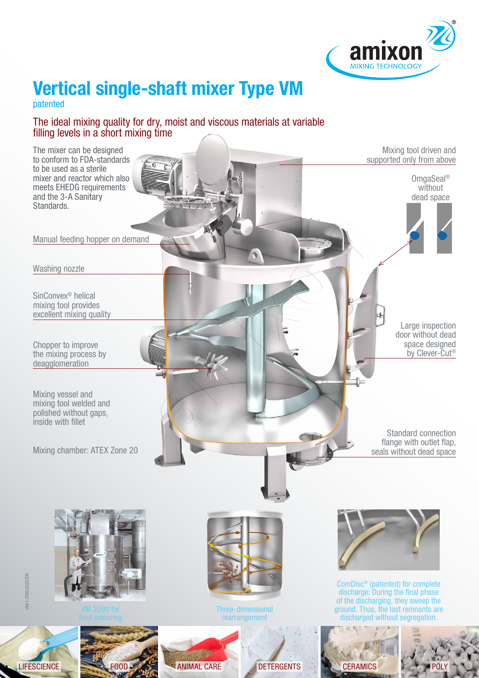

# **Vertical single-shaft mixer Type VM**

patented

#### The ideal mixing quality for dry, moist and viscous materials at variable filling levels in a short mixing time